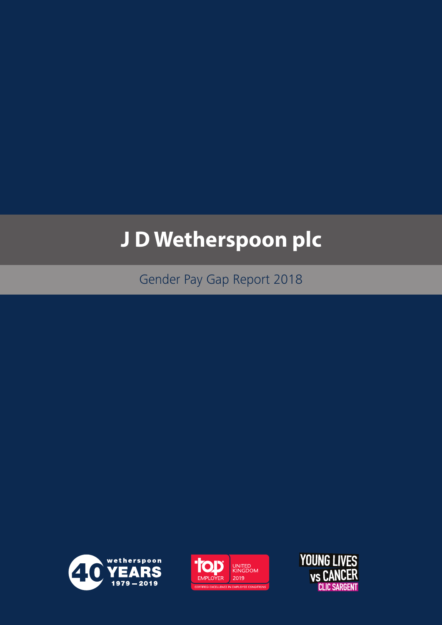# **J D Wetherspoon plc**

Gender Pay Gap Report 2018